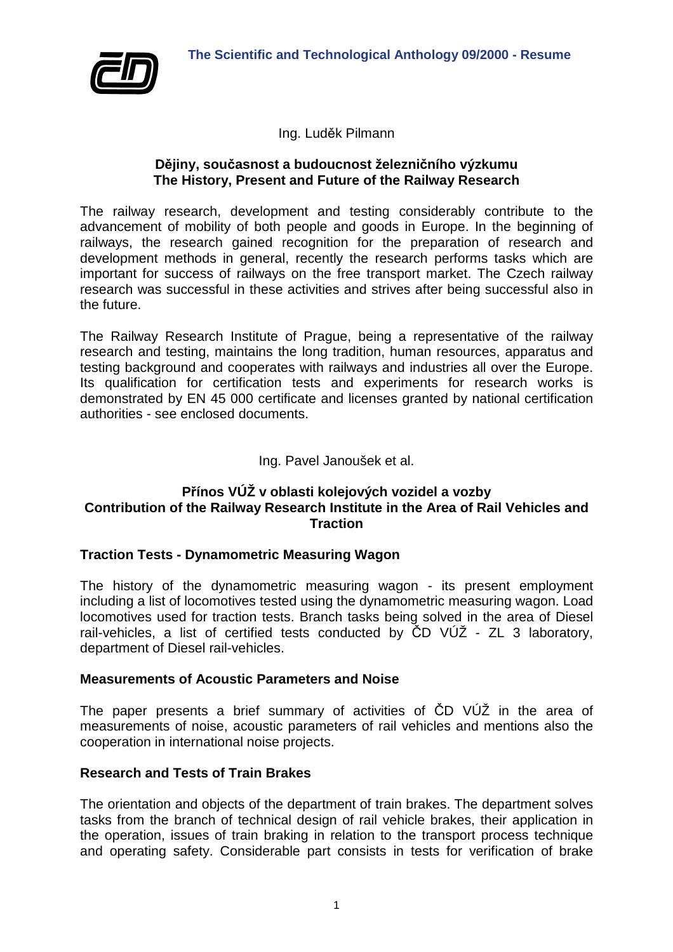

Ing. Luděk Pilmann

## **Dějiny, současnost a budoucnost železničního výzkumu The History, Present and Future of the Railway Research**

The railway research, development and testing considerably contribute to the advancement of mobility of both people and goods in Europe. In the beginning of railways, the research gained recognition for the preparation of research and development methods in general, recently the research performs tasks which are important for success of railways on the free transport market. The Czech railway research was successful in these activities and strives after being successful also in the future.

The Railway Research Institute of Prague, being a representative of the railway research and testing, maintains the long tradition, human resources, apparatus and testing background and cooperates with railways and industries all over the Europe. Its qualification for certification tests and experiments for research works is demonstrated by EN 45 000 certificate and licenses granted by national certification authorities - see enclosed documents.

## Ing. Pavel Janoušek et al.

# **Přínos VÚŽ v oblasti kolejových vozidel a vozby Contribution of the Railway Research Institute in the Area of Rail Vehicles and Traction**

## **Traction Tests - Dynamometric Measuring Wagon**

The history of the dynamometric measuring wagon - its present employment including a list of locomotives tested using the dynamometric measuring wagon. Load locomotives used for traction tests. Branch tasks being solved in the area of Diesel rail-vehicles, a list of certified tests conducted by ČD VÚŽ - ZL 3 laboratory, department of Diesel rail-vehicles.

## **Measurements of Acoustic Parameters and Noise**

The paper presents a brief summary of activities of ČD VÚŽ in the area of measurements of noise, acoustic parameters of rail vehicles and mentions also the cooperation in international noise projects.

## **Research and Tests of Train Brakes**

The orientation and objects of the department of train brakes. The department solves tasks from the branch of technical design of rail vehicle brakes, their application in the operation, issues of train braking in relation to the transport process technique and operating safety. Considerable part consists in tests for verification of brake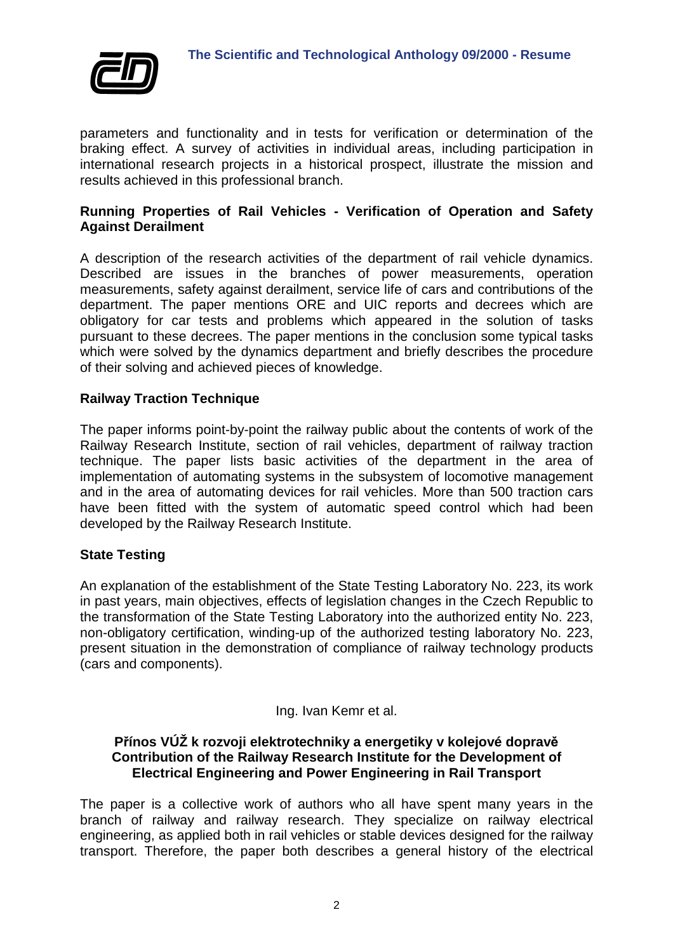

parameters and functionality and in tests for verification or determination of the braking effect. A survey of activities in individual areas, including participation in international research projects in a historical prospect, illustrate the mission and results achieved in this professional branch.

## **Running Properties of Rail Vehicles - Verification of Operation and Safety Against Derailment**

A description of the research activities of the department of rail vehicle dynamics. Described are issues in the branches of power measurements, operation measurements, safety against derailment, service life of cars and contributions of the department. The paper mentions ORE and UIC reports and decrees which are obligatory for car tests and problems which appeared in the solution of tasks pursuant to these decrees. The paper mentions in the conclusion some typical tasks which were solved by the dynamics department and briefly describes the procedure of their solving and achieved pieces of knowledge.

# **Railway Traction Technique**

The paper informs point-by-point the railway public about the contents of work of the Railway Research Institute, section of rail vehicles, department of railway traction technique. The paper lists basic activities of the department in the area of implementation of automating systems in the subsystem of locomotive management and in the area of automating devices for rail vehicles. More than 500 traction cars have been fitted with the system of automatic speed control which had been developed by the Railway Research Institute.

# **State Testing**

An explanation of the establishment of the State Testing Laboratory No. 223, its work in past years, main objectives, effects of legislation changes in the Czech Republic to the transformation of the State Testing Laboratory into the authorized entity No. 223, non-obligatory certification, winding-up of the authorized testing laboratory No. 223, present situation in the demonstration of compliance of railway technology products (cars and components).

## Ing. Ivan Kemr et al.

## **Přínos VÚŽ k rozvoji elektrotechniky a energetiky v kolejové dopravě Contribution of the Railway Research Institute for the Development of Electrical Engineering and Power Engineering in Rail Transport**

The paper is a collective work of authors who all have spent many years in the branch of railway and railway research. They specialize on railway electrical engineering, as applied both in rail vehicles or stable devices designed for the railway transport. Therefore, the paper both describes a general history of the electrical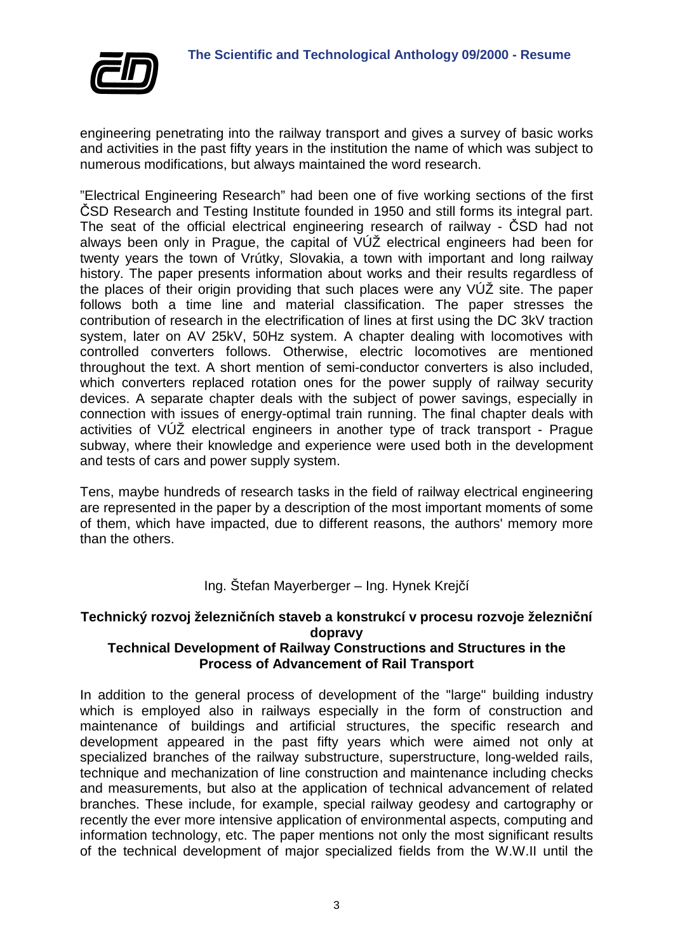

engineering penetrating into the railway transport and gives a survey of basic works and activities in the past fifty years in the institution the name of which was subject to numerous modifications, but always maintained the word research.

"Electrical Engineering Research" had been one of five working sections of the first ČSD Research and Testing Institute founded in 1950 and still forms its integral part. The seat of the official electrical engineering research of railway - ČSD had not always been only in Prague, the capital of VÚŽ electrical engineers had been for twenty years the town of Vrútky, Slovakia, a town with important and long railway history. The paper presents information about works and their results regardless of the places of their origin providing that such places were any VÚŽ site. The paper follows both a time line and material classification. The paper stresses the contribution of research in the electrification of lines at first using the DC 3kV traction system, later on AV 25kV, 50Hz system. A chapter dealing with locomotives with controlled converters follows. Otherwise, electric locomotives are mentioned throughout the text. A short mention of semi-conductor converters is also included, which converters replaced rotation ones for the power supply of railway security devices. A separate chapter deals with the subject of power savings, especially in connection with issues of energy-optimal train running. The final chapter deals with activities of VÚŽ electrical engineers in another type of track transport - Prague subway, where their knowledge and experience were used both in the development and tests of cars and power supply system.

Tens, maybe hundreds of research tasks in the field of railway electrical engineering are represented in the paper by a description of the most important moments of some of them, which have impacted, due to different reasons, the authors' memory more than the others.

# Ing. Štefan Mayerberger – Ing. Hynek Krejčí

# **Technický rozvoj železničních staveb a konstrukcí v procesu rozvoje železniční dopravy**

# **Technical Development of Railway Constructions and Structures in the Process of Advancement of Rail Transport**

In addition to the general process of development of the "large" building industry which is employed also in railways especially in the form of construction and maintenance of buildings and artificial structures, the specific research and development appeared in the past fifty years which were aimed not only at specialized branches of the railway substructure, superstructure, long-welded rails, technique and mechanization of line construction and maintenance including checks and measurements, but also at the application of technical advancement of related branches. These include, for example, special railway geodesy and cartography or recently the ever more intensive application of environmental aspects, computing and information technology, etc. The paper mentions not only the most significant results of the technical development of major specialized fields from the W.W.II until the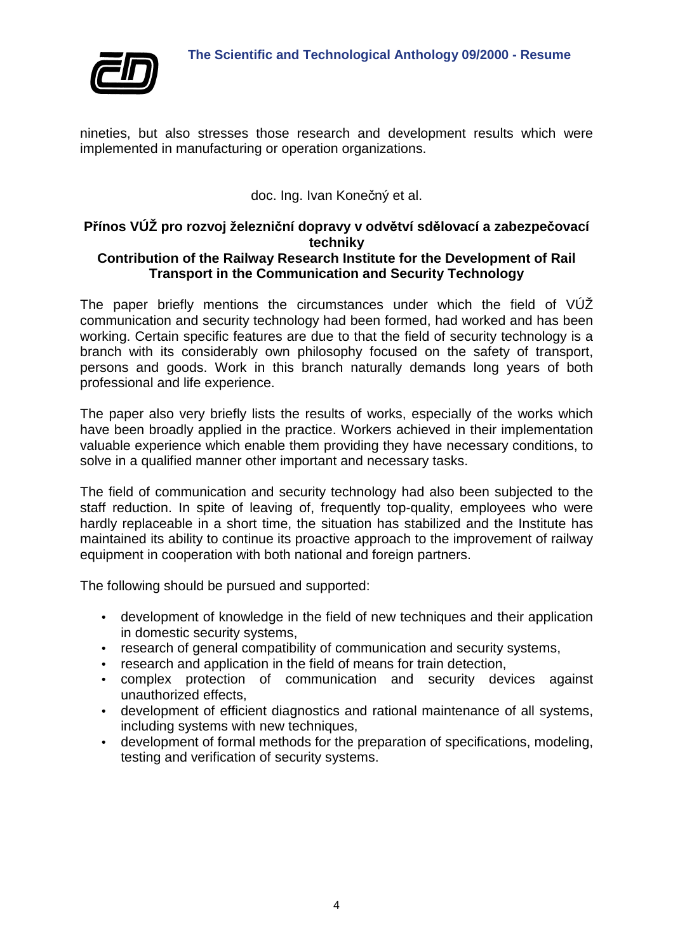

nineties, but also stresses those research and development results which were implemented in manufacturing or operation organizations.

doc. Ing. Ivan Konečný et al.

# **Přínos VÚŽ pro rozvoj železniční dopravy v odvětví sdělovací a zabezpečovací techniky**

## **Contribution of the Railway Research Institute for the Development of Rail Transport in the Communication and Security Technology**

The paper briefly mentions the circumstances under which the field of VUZ communication and security technology had been formed, had worked and has been working. Certain specific features are due to that the field of security technology is a branch with its considerably own philosophy focused on the safety of transport, persons and goods. Work in this branch naturally demands long years of both professional and life experience.

The paper also very briefly lists the results of works, especially of the works which have been broadly applied in the practice. Workers achieved in their implementation valuable experience which enable them providing they have necessary conditions, to solve in a qualified manner other important and necessary tasks.

The field of communication and security technology had also been subjected to the staff reduction. In spite of leaving of, frequently top-quality, employees who were hardly replaceable in a short time, the situation has stabilized and the Institute has maintained its ability to continue its proactive approach to the improvement of railway equipment in cooperation with both national and foreign partners.

The following should be pursued and supported:

- development of knowledge in the field of new techniques and their application in domestic security systems,
- research of general compatibility of communication and security systems,
- research and application in the field of means for train detection,
- complex protection of communication and security devices against unauthorized effects,
- development of efficient diagnostics and rational maintenance of all systems, including systems with new techniques,
- development of formal methods for the preparation of specifications, modeling, testing and verification of security systems.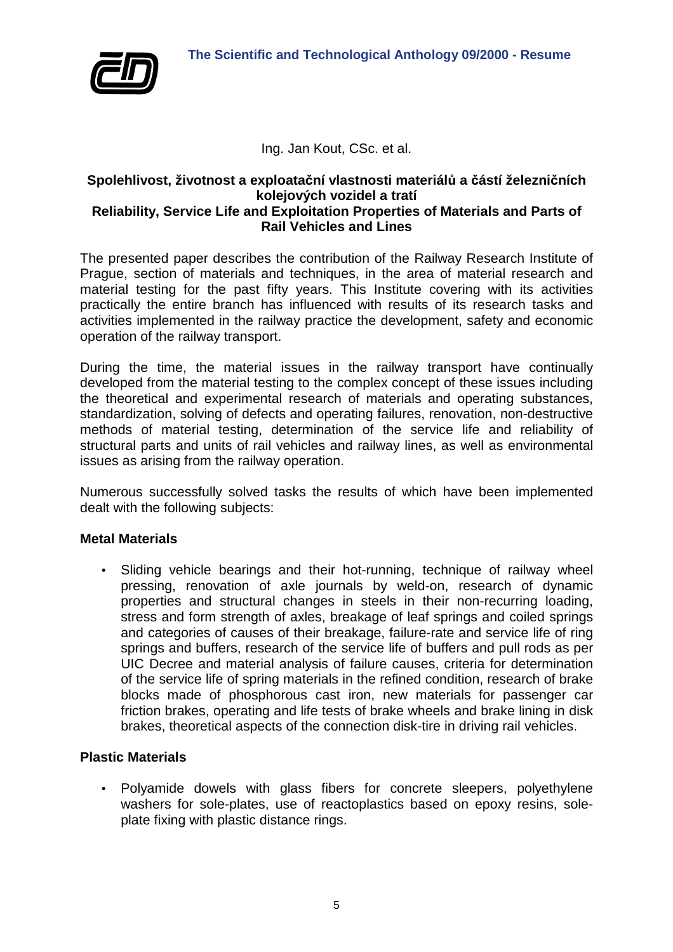

# Ing. Jan Kout, CSc. et al.

#### **Spolehlivost, životnost a exploatační vlastnosti materiálů a částí železničních kolejových vozidel a tratí Reliability, Service Life and Exploitation Properties of Materials and Parts of**

# **Rail Vehicles and Lines**

The presented paper describes the contribution of the Railway Research Institute of Prague, section of materials and techniques, in the area of material research and material testing for the past fifty years. This Institute covering with its activities practically the entire branch has influenced with results of its research tasks and activities implemented in the railway practice the development, safety and economic operation of the railway transport.

During the time, the material issues in the railway transport have continually developed from the material testing to the complex concept of these issues including the theoretical and experimental research of materials and operating substances, standardization, solving of defects and operating failures, renovation, non-destructive methods of material testing, determination of the service life and reliability of structural parts and units of rail vehicles and railway lines, as well as environmental issues as arising from the railway operation.

Numerous successfully solved tasks the results of which have been implemented dealt with the following subjects:

## **Metal Materials**

• Sliding vehicle bearings and their hot-running, technique of railway wheel pressing, renovation of axle journals by weld-on, research of dynamic properties and structural changes in steels in their non-recurring loading, stress and form strength of axles, breakage of leaf springs and coiled springs and categories of causes of their breakage, failure-rate and service life of ring springs and buffers, research of the service life of buffers and pull rods as per UIC Decree and material analysis of failure causes, criteria for determination of the service life of spring materials in the refined condition, research of brake blocks made of phosphorous cast iron, new materials for passenger car friction brakes, operating and life tests of brake wheels and brake lining in disk brakes, theoretical aspects of the connection disk-tire in driving rail vehicles.

## **Plastic Materials**

• Polyamide dowels with glass fibers for concrete sleepers, polyethylene washers for sole-plates, use of reactoplastics based on epoxy resins, soleplate fixing with plastic distance rings.